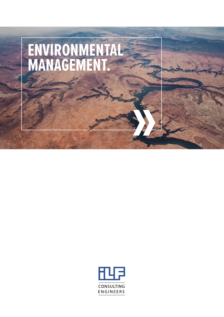

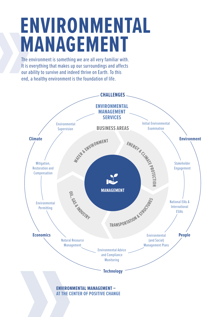# **ENVIRONMENTAL MANAGEMENT**

The environment is something we are all very familiar with. It is everything that makes up our surroundings and affects our ability to survive and indeed thrive on Earth. To this end, a healthy environment is the foundation of life.

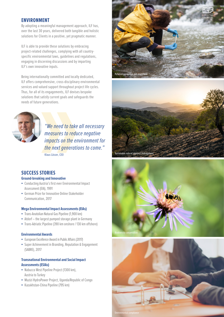### **ENVIRONMENT**

By adopting a meaningful management approach, ILF has, over the last 30 years, delivered both tangible and holistic solutions for Clients in a positive, yet pragmatic manner.

ILF is able to provide these solutions by embracing project-related challenges, complying with all countryspecific environmental laws, guidelines and regulations, engaging in discerning discussions and by imparting ILF's own innovative inputs.

Being internationally committed and locally dedicated, ILF offers comprehensive, cross-disciplinary environmental services and valued support throughout project life cycles. Thus, for all of its engagements, ILF devises bespoke solutions that satisfy current goals and safeguards the needs of future generations.



*"We need to take all necessary measures to reduce negative impacts on the environment for the next generations to come."* Klaus Lässer, CEO

## **SUCCESS STORIES**

**Ground-breaking and Innovative**

- Conducting Austria's first ever Environmental Impact Assessment (EIA), 1991
- **German Prize for Innovative Online-Stakeholder** Communication, 2017

#### **Mega Environmental Impact Assessments (EIAs)**

- Trans-Anatolian Natural Gas Pipeline (1,900 km)
- Atdorf the largest pumped storage plant in Germany
- Trans-Adriatic Pipeline (390 km onshore / 130 km offshore)

#### **Environmental Awards**

- European Excellence Award in Public Affairs (2017)
- **Example 2** Super Achievement in Branding, Reputation & Engagement (SABRE), 2017

#### **Transnational Environmental and Social Impact Assessments (ESIAs)**

- Nabucco West Pipeline Project (1300 km), Austria to Turkey
- Muzizi HydroPower Project, Uganda/Republic of Congo
- Kazakhstan-China Pipeline (795 km)